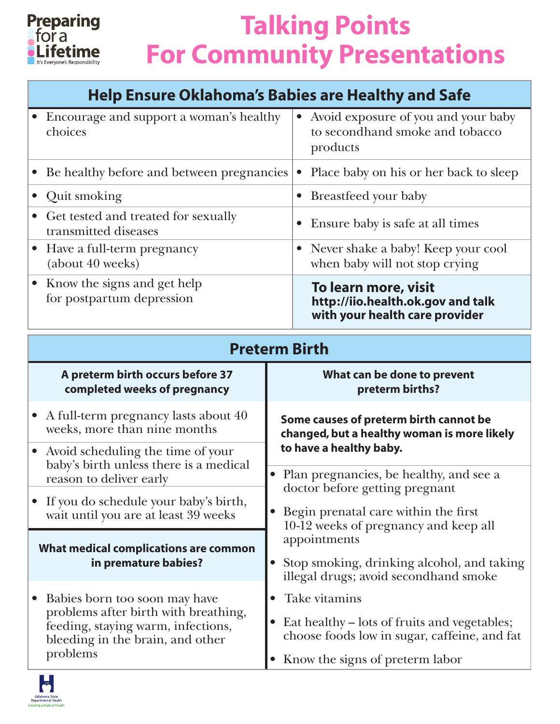

### **Help Ensure Oklahoma's Babies are Healthy and Safe**

| Encourage and support a woman's healthy<br>choices                              | Avoid exposure of you and your baby<br>$\bullet$<br>to secondhand smoke and tobacco<br>products |
|---------------------------------------------------------------------------------|-------------------------------------------------------------------------------------------------|
| Be healthy before and between pregnancies<br>$\bullet$                          | Place baby on his or her back to sleep<br>$\bullet$                                             |
| Quit smoking<br>$\bullet$                                                       | • Breastfeed your baby                                                                          |
| • Get tested and treated for sexually<br>transmitted diseases                   | Ensure baby is safe at all times                                                                |
| Have a full-term pregnancy<br>(about 40 weeks)                                  | Never shake a baby! Keep your cool<br>when baby will not stop crying                            |
| • Know the signs and get help<br>for postpartum depression                      | To learn more, visit<br>http://iio.health.ok.gov and talk<br>with your health care provider     |
| <b>Preterm Birth</b>                                                            |                                                                                                 |
|                                                                                 |                                                                                                 |
| A preterm birth occurs before 37<br>completed weeks of pregnancy                | What can be done to prevent<br>preterm births?                                                  |
| • A full-term pregnancy lasts about 40<br>weeks, more than nine months          | Some causes of preterm birth cannot be<br>changed, but a healthy woman is more likely           |
| Avoid scheduling the time of your<br>baby's birth unless there is a medical     | to have a healthy baby.                                                                         |
| reason to deliver early                                                         | Plan pregnancies, be healthy, and see a<br>doctor before getting pregnant                       |
| • If you do schedule your baby's birth,<br>wait until you are at least 39 weeks | Begin prenatal care within the first                                                            |
| What medical complications are common                                           | 10-12 weeks of pregnancy and keep all<br>appointments                                           |

- • Babies born too soon may have problems after birth with breathing, feeding, staying warm, infections, bleeding in the brain, and other problems
- Eat healthy lots of fruits and vegetables; choose foods low in sugar, caffeine, and fat

illegal drugs; avoid secondhand smoke

• Know the signs of preterm labor

• Take vitamins

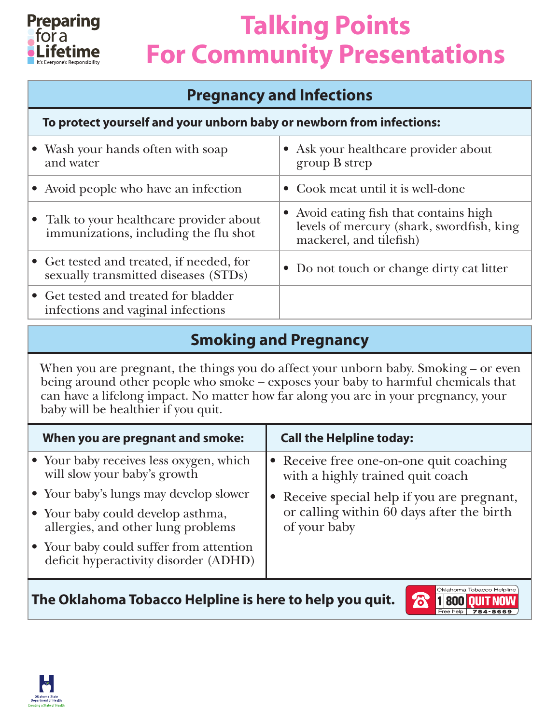

### **Pregnancy and Infections**

#### **To protect yourself and your unborn baby or newborn from infections:**

| • Wash your hands often with soap<br>and water                                    | • Ask your healthcare provider about<br>group B strep                                                          |
|-----------------------------------------------------------------------------------|----------------------------------------------------------------------------------------------------------------|
| • Avoid people who have an infection                                              | • Cook meat until it is well-done                                                                              |
| • Talk to your healthcare provider about<br>immunizations, including the flu shot | • Avoid eating fish that contains high<br>levels of mercury (shark, swordfish, king<br>mackerel, and tilefish) |
| • Get tested and treated, if needed, for<br>sexually transmitted diseases (STDs)  | • Do not touch or change dirty cat litter                                                                      |
| • Get tested and treated for bladder<br>infections and vaginal infections         |                                                                                                                |

### **Smoking and Pregnancy**

When you are pregnant, the things you do affect your unborn baby. Smoking – or even being around other people who smoke – exposes your baby to harmful chemicals that can have a lifelong impact. No matter how far along you are in your pregnancy, your baby will be healthier if you quit.

| When you are pregnant and smoke:                                                 | <b>Call the Helpline today:</b>                                             |
|----------------------------------------------------------------------------------|-----------------------------------------------------------------------------|
| • Your baby receives less oxygen, which<br>will slow your baby's growth          | • Receive free one-on-one quit coaching<br>with a highly trained quit coach |
| • Your baby's lungs may develop slower                                           | • Receive special help if you are pregnant,                                 |
| • Your baby could develop asthma,<br>allergies, and other lung problems          | or calling within 60 days after the birth<br>of your baby                   |
| • Your baby could suffer from attention<br>deficit hyperactivity disorder (ADHD) |                                                                             |
|                                                                                  |                                                                             |

**The Oklahoma Tobacco Helpline is here to help you quit.**



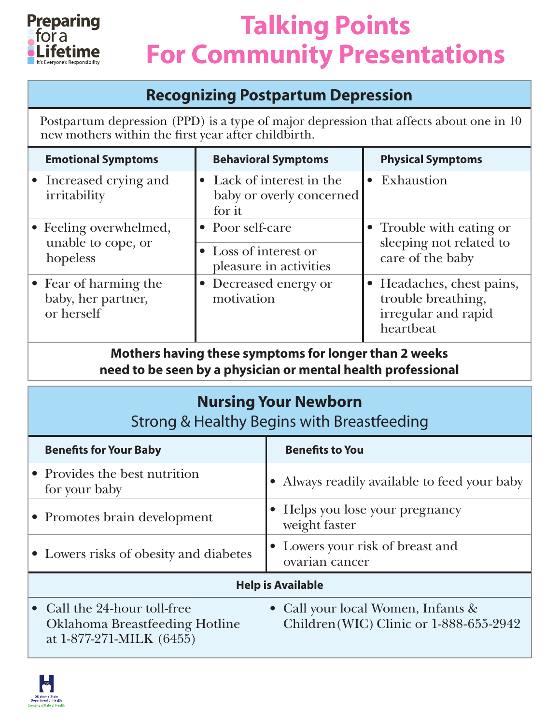

#### **Recognizing Postpartum Depression**

Postpartum depression (PPD) is a type of major depression that affects about one in 10 new mothers within the first year after childbirth.

| <b>Emotional Symptoms</b>                                 | <b>Behavioral Symptoms</b>                                          | <b>Physical Symptoms</b>                                                            |
|-----------------------------------------------------------|---------------------------------------------------------------------|-------------------------------------------------------------------------------------|
| • Increased crying and<br>irritability                    | • Lack of interest in the<br>baby or overly concerned<br>for it     | • Exhaustion                                                                        |
| • Feeling overwhelmed,<br>unable to cope, or<br>hopeless  | • Poor self-care<br>• Loss of interest or<br>pleasure in activities | • Trouble with eating or<br>sleeping not related to<br>care of the baby             |
| • Fear of harming the<br>baby, her partner,<br>or herself | • Decreased energy or<br>motivation                                 | • Headaches, chest pains,<br>trouble breathing,<br>irregular and rapid<br>heartbeat |

**Mothers having these symptoms for longer than 2 weeks need to be seen by a physician or mental health professional**

### **Nursing Your Newborn**

#### Strong & Healthy Begins with Breastfeeding

| <b>Benefits for Your Baby</b>                                                                     | <b>Benefits to You</b>                                                           |
|---------------------------------------------------------------------------------------------------|----------------------------------------------------------------------------------|
| • Provides the best nutrition<br>for your baby                                                    | • Always readily available to feed your baby                                     |
| • Promotes brain development                                                                      | • Helps you lose your pregnancy<br>weight faster                                 |
| • Lowers risks of obesity and diabetes                                                            | • Lowers your risk of breast and<br>ovarian cancer                               |
| <b>Help is Available</b>                                                                          |                                                                                  |
| • Call the 24-hour toll-free<br><b>Oklahoma Breastfeeding Hotline</b><br>at 1-877-271-MILK (6455) | • Call your local Women, Infants $\&$<br>Children (WIC) Clinic or 1-888-655-2942 |

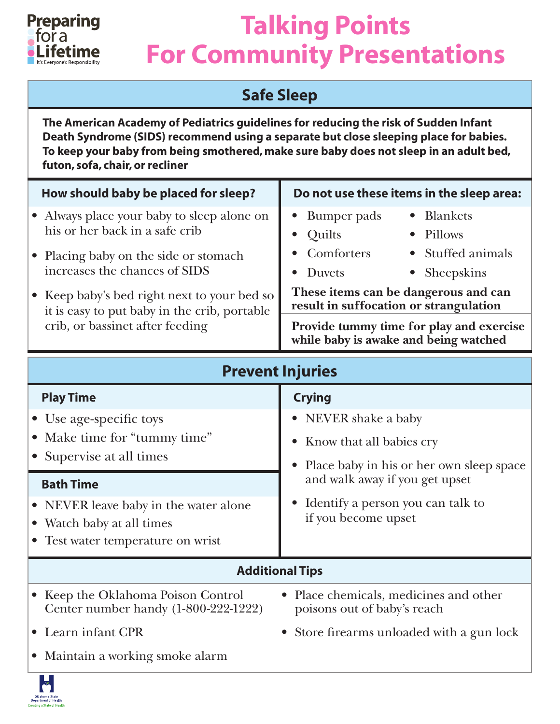

### **Safe Sleep**

**The American Academy of Pediatrics guidelines for reducing the risk of Sudden Infant Death Syndrome (SIDS) recommend using a separate but close sleeping place for babies. To keep your baby from being smothered, make sure baby does not sleep in an adult bed, futon, sofa, chair, or recliner**

| How should baby be placed for sleep?                                                        | Do not use these items in the sleep area:                                         |
|---------------------------------------------------------------------------------------------|-----------------------------------------------------------------------------------|
| • Always place your baby to sleep alone on<br>his or her back in a safe crib                | • Blankets<br>• Bumper pads<br>Quilts<br>Pillows                                  |
| • Placing baby on the side or stomach                                                       | Comforters<br>• Stuffed animals                                                   |
| increases the chances of SIDS                                                               | • Sheepskins<br><b>Duvets</b><br>These items can be dangerous and can             |
| • Keep baby's bed right next to your bed so<br>it is easy to put baby in the crib, portable | result in suffocation or strangulation                                            |
| crib, or bassinet after feeding                                                             | Provide tummy time for play and exercise<br>while baby is awake and being watched |

| <b>Prevent Injuries</b>                                                                                 |                                                                                         |  |
|---------------------------------------------------------------------------------------------------------|-----------------------------------------------------------------------------------------|--|
| <b>Play Time</b>                                                                                        | <b>Crying</b>                                                                           |  |
| • Use age-specific toys                                                                                 | • NEVER shake a baby                                                                    |  |
| • Make time for "tummy time"                                                                            | Know that all babies cry<br>$\bullet$                                                   |  |
| • Supervise at all times<br><b>Bath Time</b>                                                            | Place baby in his or her own sleep space<br>$\bullet$<br>and walk away if you get upset |  |
| • NEVER leave baby in the water alone<br>• Watch baby at all times<br>• Test water temperature on wrist | Identify a person you can talk to<br>if you become upset                                |  |
| <b>Additional Tips</b>                                                                                  |                                                                                         |  |
| • Keep the Oklahoma Poison Control<br>Center number handy (1-800-222-1222)                              | Place chemicals, medicines and other<br>poisons out of baby's reach                     |  |
| • Learn infant CPR                                                                                      | • Store firearms unloaded with a gun lock                                               |  |
| • Maintain a working smoke alarm<br><b>TELEVISION</b>                                                   |                                                                                         |  |